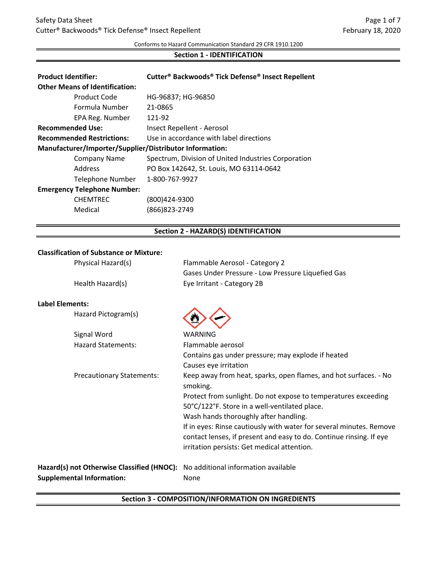#### Conforms to Hazard Communication Standard 29 CFR 1910.1200

## **Section 1 - IDENTIFICATION**

| <b>Product Identifier:</b>                              | Cutter <sup>®</sup> Backwoods® Tick Defense® Insect Repellent |
|---------------------------------------------------------|---------------------------------------------------------------|
| <b>Other Means of Identification:</b>                   |                                                               |
| Product Code                                            | HG-96837; HG-96850                                            |
| Formula Number                                          | 21-0865                                                       |
| EPA Reg. Number                                         | 121-92                                                        |
| <b>Recommended Use:</b>                                 | Insect Repellent - Aerosol                                    |
| <b>Recommended Restrictions:</b>                        | Use in accordance with label directions                       |
| Manufacturer/Importer/Supplier/Distributor Information: |                                                               |
| Company Name                                            | Spectrum, Division of United Industries Corporation           |
| Address                                                 | PO Box 142642, St. Louis, MO 63114-0642                       |
| <b>Telephone Number</b>                                 | 1-800-767-9927                                                |
| <b>Emergency Telephone Number:</b>                      |                                                               |
| <b>CHEMTREC</b>                                         | (800)424-9300                                                 |
| Medical                                                 | (866)823-2749                                                 |
|                                                         |                                                               |

## **Section 2 - HAZARD(S) IDENTIFICATION**

## **Classification of Substance or Mixture:**

| Physical Hazard(s)               | Flammable Aerosol - Category 2                                                                                                                                                            |
|----------------------------------|-------------------------------------------------------------------------------------------------------------------------------------------------------------------------------------------|
|                                  | Gases Under Pressure - Low Pressure Liquefied Gas                                                                                                                                         |
| Health Hazard(s)                 | Eye Irritant - Category 2B                                                                                                                                                                |
| <b>Label Elements:</b>           |                                                                                                                                                                                           |
| Hazard Pictogram(s)              |                                                                                                                                                                                           |
| Signal Word                      | WARNING                                                                                                                                                                                   |
| <b>Hazard Statements:</b>        | Flammable aerosol                                                                                                                                                                         |
|                                  | Contains gas under pressure; may explode if heated                                                                                                                                        |
|                                  | Causes eye irritation                                                                                                                                                                     |
| <b>Precautionary Statements:</b> | Keep away from heat, sparks, open flames, and hot surfaces. - No<br>smoking.                                                                                                              |
|                                  | Protect from sunlight. Do not expose to temperatures exceeding<br>50°C/122°F. Store in a well-ventilated place.                                                                           |
|                                  | Wash hands thoroughly after handling.                                                                                                                                                     |
|                                  | If in eyes: Rinse cautiously with water for several minutes. Remove<br>contact lenses, if present and easy to do. Continue rinsing. If eye<br>irritation persists: Get medical attention. |
| <b>Supplemental Information:</b> | Hazard(s) not Otherwise Classified (HNOC): No additional information available<br>None                                                                                                    |
|                                  |                                                                                                                                                                                           |

#### **Section 3 - COMPOSITION/INFORMATION ON INGREDIENTS**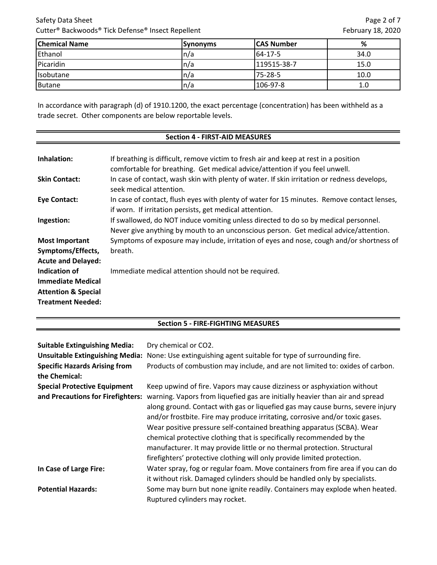# Safety Data Sheet Cutter® Backwoods® Tick Defense® Insect Repellent

| <b>Chemical Name</b> | <b>Synonyms</b> | <b>ICAS Number</b> | %    |
|----------------------|-----------------|--------------------|------|
| Ethanol              | ln/a            | 64-17-5            | 34.0 |
| Picaridin            | In/a            | 119515-38-7        | 15.0 |
| <b>Isobutane</b>     | In/a            | 75-28-5            | 10.0 |
| Butane               | In/a            | 106-97-8           | 1.0  |

In accordance with paragraph (d) of 1910.1200, the exact percentage (concentration) has been withheld as a trade secret. Other components are below reportable levels.

#### **Section 4 - FIRST-AID MEASURES**

| Inhalation:                    | If breathing is difficult, remove victim to fresh air and keep at rest in a position<br>comfortable for breathing. Get medical advice/attention if you feel unwell.         |
|--------------------------------|-----------------------------------------------------------------------------------------------------------------------------------------------------------------------------|
| <b>Skin Contact:</b>           | In case of contact, wash skin with plenty of water. If skin irritation or redness develops,<br>seek medical attention.                                                      |
| <b>Eye Contact:</b>            | In case of contact, flush eyes with plenty of water for 15 minutes. Remove contact lenses,<br>if worn. If irritation persists, get medical attention.                       |
| Ingestion:                     | If swallowed, do NOT induce vomiting unless directed to do so by medical personnel.<br>Never give anything by mouth to an unconscious person. Get medical advice/attention. |
| <b>Most Important</b>          | Symptoms of exposure may include, irritation of eyes and nose, cough and/or shortness of                                                                                    |
| Symptoms/Effects,              | breath.                                                                                                                                                                     |
| <b>Acute and Delayed:</b>      |                                                                                                                                                                             |
| Indication of                  | Immediate medical attention should not be required.                                                                                                                         |
| <b>Immediate Medical</b>       |                                                                                                                                                                             |
| <b>Attention &amp; Special</b> |                                                                                                                                                                             |
| <b>Treatment Needed:</b>       |                                                                                                                                                                             |

## **Section 5 - FIRE-FIGHTING MEASURES**

| <b>Suitable Extinguishing Media:</b><br><b>Unsuitable Extinguishing Media:</b><br><b>Specific Hazards Arising from</b><br>the Chemical: | Dry chemical or CO2.<br>None: Use extinguishing agent suitable for type of surrounding fire.<br>Products of combustion may include, and are not limited to: oxides of carbon.                                                                                                                                                                                                                                                                                                                                                                           |
|-----------------------------------------------------------------------------------------------------------------------------------------|---------------------------------------------------------------------------------------------------------------------------------------------------------------------------------------------------------------------------------------------------------------------------------------------------------------------------------------------------------------------------------------------------------------------------------------------------------------------------------------------------------------------------------------------------------|
| <b>Special Protective Equipment</b>                                                                                                     | Keep upwind of fire. Vapors may cause dizziness or asphyxiation without                                                                                                                                                                                                                                                                                                                                                                                                                                                                                 |
| and Precautions for Firefighters:                                                                                                       | warning. Vapors from liquefied gas are initially heavier than air and spread<br>along ground. Contact with gas or liquefied gas may cause burns, severe injury<br>and/or frostbite. Fire may produce irritating, corrosive and/or toxic gases.<br>Wear positive pressure self-contained breathing apparatus (SCBA). Wear<br>chemical protective clothing that is specifically recommended by the<br>manufacturer. It may provide little or no thermal protection. Structural<br>firefighters' protective clothing will only provide limited protection. |
| In Case of Large Fire:                                                                                                                  | Water spray, fog or regular foam. Move containers from fire area if you can do<br>it without risk. Damaged cylinders should be handled only by specialists.                                                                                                                                                                                                                                                                                                                                                                                             |
| <b>Potential Hazards:</b>                                                                                                               | Some may burn but none ignite readily. Containers may explode when heated.<br>Ruptured cylinders may rocket.                                                                                                                                                                                                                                                                                                                                                                                                                                            |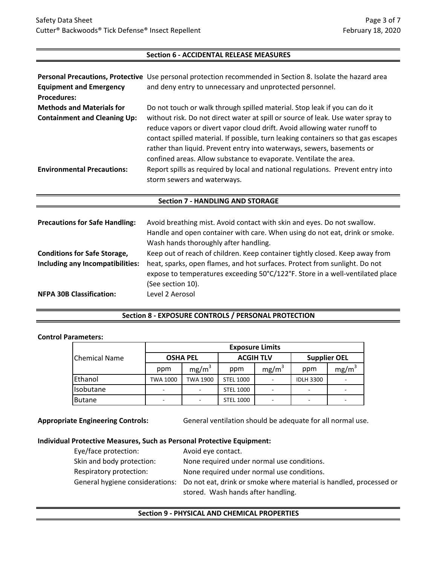#### **Section 6 - ACCIDENTAL RELEASE MEASURES**

|                                     | Personal Precautions, Protective Use personal protection recommended in Section 8. Isolate the hazard area                                                                                                                                                                                                                                                                                         |
|-------------------------------------|----------------------------------------------------------------------------------------------------------------------------------------------------------------------------------------------------------------------------------------------------------------------------------------------------------------------------------------------------------------------------------------------------|
| <b>Equipment and Emergency</b>      | and deny entry to unnecessary and unprotected personnel.                                                                                                                                                                                                                                                                                                                                           |
| <b>Procedures:</b>                  |                                                                                                                                                                                                                                                                                                                                                                                                    |
| <b>Methods and Materials for</b>    | Do not touch or walk through spilled material. Stop leak if you can do it                                                                                                                                                                                                                                                                                                                          |
| <b>Containment and Cleaning Up:</b> | without risk. Do not direct water at spill or source of leak. Use water spray to<br>reduce vapors or divert vapor cloud drift. Avoid allowing water runoff to<br>contact spilled material. If possible, turn leaking containers so that gas escapes<br>rather than liquid. Prevent entry into waterways, sewers, basements or<br>confined areas. Allow substance to evaporate. Ventilate the area. |
| <b>Environmental Precautions:</b>   | Report spills as required by local and national regulations. Prevent entry into<br>storm sewers and waterways.                                                                                                                                                                                                                                                                                     |

#### **Section 7 - HANDLING AND STORAGE**

| <b>Precautions for Safe Handling:</b> | Avoid breathing mist. Avoid contact with skin and eyes. Do not swallow.<br>Handle and open container with care. When using do not eat, drink or smoke.<br>Wash hands thoroughly after handling. |
|---------------------------------------|-------------------------------------------------------------------------------------------------------------------------------------------------------------------------------------------------|
| <b>Conditions for Safe Storage,</b>   | Keep out of reach of children. Keep container tightly closed. Keep away from                                                                                                                    |
| Including any Incompatibilities:      | heat, sparks, open flames, and hot surfaces. Protect from sunlight. Do not<br>expose to temperatures exceeding 50°C/122°F. Store in a well-ventilated place<br>(See section 10).                |
| <b>NFPA 30B Classification:</b>       | Level 2 Aerosol                                                                                                                                                                                 |

## **Section 8 - EXPOSURE CONTROLS / PERSONAL PROTECTION**

#### **Control Parameters:**

|               | <b>Exposure Limits</b> |                          |                  |                   |                  |                     |
|---------------|------------------------|--------------------------|------------------|-------------------|------------------|---------------------|
| Chemical Name |                        | <b>OSHA PEL</b>          |                  | <b>ACGIH TLV</b>  |                  | <b>Supplier OEL</b> |
|               | ppm                    | mg/m <sup>3</sup>        | ppm              | mg/m <sup>3</sup> | ppm              | mg/m <sup>3</sup>   |
| Ethanol       | <b>TWA 1000</b>        | <b>TWA 1900</b>          | <b>STEL 1000</b> |                   | <b>IDLH 3300</b> |                     |
| Isobutane     |                        |                          | <b>STEL 1000</b> |                   | ٠                |                     |
| <b>Butane</b> | ۰                      | $\overline{\phantom{a}}$ | <b>STEL 1000</b> |                   | ٠                |                     |

**Appropriate Engineering Controls:** General ventilation should be adequate for all normal use.

#### **Individual Protective Measures, Such as Personal Protective Equipment:**

| Eye/face protection:      | Avoid eye contact.                                                                                 |
|---------------------------|----------------------------------------------------------------------------------------------------|
| Skin and body protection: | None required under normal use conditions.                                                         |
| Respiratory protection:   | None required under normal use conditions.                                                         |
|                           | General hygiene considerations: Do not eat, drink or smoke where material is handled, processed or |
|                           | stored. Wash hands after handling.                                                                 |

#### **Section 9 - PHYSICAL AND CHEMICAL PROPERTIES**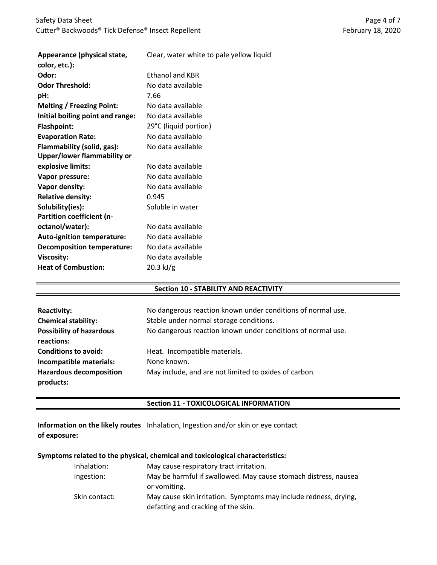| Appearance (physical state,       | Clear, water white to pale yellow liquid |
|-----------------------------------|------------------------------------------|
| color, etc.):                     |                                          |
| Odor:                             | <b>Ethanol and KBR</b>                   |
| <b>Odor Threshold:</b>            | No data available                        |
| pH:                               | 7.66                                     |
| <b>Melting / Freezing Point:</b>  | No data available                        |
| Initial boiling point and range:  | No data available                        |
| <b>Flashpoint:</b>                | 29°C (liquid portion)                    |
| <b>Evaporation Rate:</b>          | No data available                        |
| Flammability (solid, gas):        | No data available                        |
| Upper/lower flammability or       |                                          |
| explosive limits:                 | No data available                        |
| Vapor pressure:                   | No data available                        |
| Vapor density:                    | No data available                        |
| <b>Relative density:</b>          | 0.945                                    |
| Solubility(ies):                  | Soluble in water                         |
| Partition coefficient (n-         |                                          |
| octanol/water):                   | No data available                        |
| <b>Auto-ignition temperature:</b> | No data available                        |
| <b>Decomposition temperature:</b> | No data available                        |
| <b>Viscosity:</b>                 | No data available                        |
| <b>Heat of Combustion:</b>        | 20.3 kJ/g                                |
|                                   |                                          |

#### **Section 10 - STABILITY AND REACTIVITY**

| <b>Reactivity:</b>                          | No dangerous reaction known under conditions of normal use. |
|---------------------------------------------|-------------------------------------------------------------|
| <b>Chemical stability:</b>                  | Stable under normal storage conditions.                     |
| <b>Possibility of hazardous</b>             | No dangerous reaction known under conditions of normal use. |
| reactions:                                  |                                                             |
| <b>Conditions to avoid:</b>                 | Heat. Incompatible materials.                               |
| Incompatible materials:                     | None known.                                                 |
| <b>Hazardous decomposition</b><br>products: | May include, and are not limited to oxides of carbon.       |

## **Section 11 - TOXICOLOGICAL INFORMATION**

Information on the likely routes Inhalation, Ingestion and/or skin or eye contact **of exposure:**

#### **Symptoms related to the physical, chemical and toxicological characteristics:**

| Inhalation:   | May cause respiratory tract irritation.                          |
|---------------|------------------------------------------------------------------|
| Ingestion:    | May be harmful if swallowed. May cause stomach distress, nausea  |
|               | or vomiting.                                                     |
| Skin contact: | May cause skin irritation. Symptoms may include redness, drying, |
|               | defatting and cracking of the skin.                              |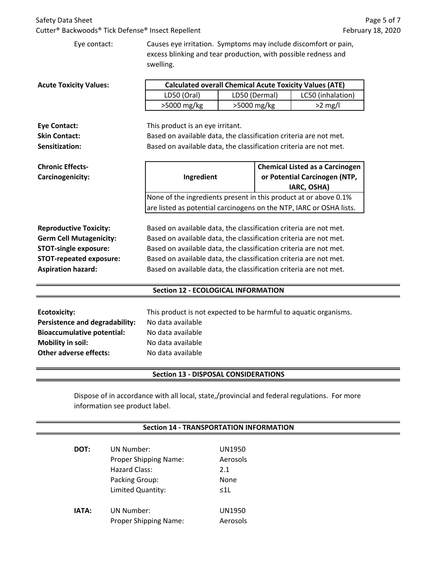| Safety Data Sheet<br>Cutter <sup>®</sup> Backwoods <sup>®</sup> Tick Defense <sup>®</sup> Insect Repellent |                                                                                                                                                                            |               |                                                                         |                   | Page 5 of 7<br>February 18, 2020 |
|------------------------------------------------------------------------------------------------------------|----------------------------------------------------------------------------------------------------------------------------------------------------------------------------|---------------|-------------------------------------------------------------------------|-------------------|----------------------------------|
| Eye contact:                                                                                               | Causes eye irritation. Symptoms may include discomfort or pain,<br>excess blinking and tear production, with possible redness and<br>swelling.                             |               |                                                                         |                   |                                  |
| <b>Acute Toxicity Values:</b>                                                                              | <b>Calculated overall Chemical Acute Toxicity Values (ATE)</b>                                                                                                             |               |                                                                         |                   |                                  |
|                                                                                                            | LD50 (Oral)                                                                                                                                                                | LD50 (Dermal) |                                                                         | LC50 (inhalation) |                                  |
|                                                                                                            | >5000 mg/kg                                                                                                                                                                | >5000 mg/kg   |                                                                         | $>2$ mg/l         |                                  |
| <b>Eye Contact:</b><br><b>Skin Contact:</b><br>Sensitization:                                              | This product is an eye irritant.<br>Based on available data, the classification criteria are not met.<br>Based on available data, the classification criteria are not met. |               |                                                                         |                   |                                  |
| <b>Chronic Effects-</b><br>Carcinogenicity:                                                                | Ingredient                                                                                                                                                                 |               | <b>Chemical Listed as a Carcinogen</b><br>or Potential Carcinogen (NTP, |                   |                                  |
|                                                                                                            |                                                                                                                                                                            |               |                                                                         | IARC, OSHA)       |                                  |
|                                                                                                            | None of the ingredients present in this product at or above 0.1%                                                                                                           |               |                                                                         |                   |                                  |
|                                                                                                            | are listed as potential carcinogens on the NTP, IARC or OSHA lists.                                                                                                        |               |                                                                         |                   |                                  |
| <b>Reproductive Toxicity:</b>                                                                              | Based on available data, the classification criteria are not met.                                                                                                          |               |                                                                         |                   |                                  |
| <b>Germ Cell Mutagenicity:</b>                                                                             | Based on available data, the classification criteria are not met.                                                                                                          |               |                                                                         |                   |                                  |
| <b>STOT-single exposure:</b>                                                                               | Based on available data, the classification criteria are not met.                                                                                                          |               |                                                                         |                   |                                  |
| <b>STOT-repeated exposure:</b>                                                                             | Based on available data, the classification criteria are not met.                                                                                                          |               |                                                                         |                   |                                  |
| <b>Aspiration hazard:</b>                                                                                  | Based on available data, the classification criteria are not met.                                                                                                          |               |                                                                         |                   |                                  |
| <b>Section 12 - ECOLOGICAL INFORMATION</b>                                                                 |                                                                                                                                                                            |               |                                                                         |                   |                                  |

## **Section 12 - ECOLOGICAL INFORMATION**

| This product is not expected to be harmful to aquatic organisms. |
|------------------------------------------------------------------|
| No data available                                                |
| No data available                                                |
| No data available                                                |
| No data available                                                |
|                                                                  |

# **Section 13 - DISPOSAL CONSIDERATIONS**

Dispose of in accordance with all local, state,/provincial and federal regulations. For more information see product label.

# **Section 14 - TRANSPORTATION INFORMATION**

| DOT:         | UN Number:<br><b>Proper Shipping Name:</b><br>Hazard Class:<br>Packing Group:<br>Limited Quantity: | UN1950<br>Aerosols<br>2.1<br>None<br>$\leq$ 11 |
|--------------|----------------------------------------------------------------------------------------------------|------------------------------------------------|
| <b>IATA:</b> | UN Number:<br><b>Proper Shipping Name:</b>                                                         | <b>UN1950</b><br>Aerosols                      |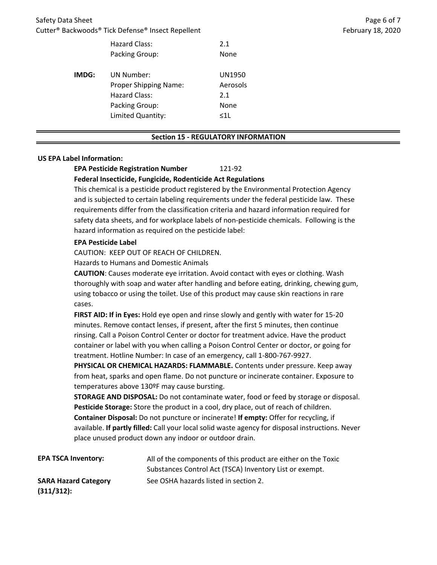## Safety Data Sheet Cutter® Backwoods® Tick Defense® Insect Repellent

|       | <b>Hazard Class:</b>         | 2.1      |
|-------|------------------------------|----------|
|       | Packing Group:               | None     |
| IMDG: | UN Number:                   | UN1950   |
|       | <b>Proper Shipping Name:</b> | Aerosols |
|       | <b>Hazard Class:</b>         | 2.1      |
|       | Packing Group:               | None     |
|       | Limited Quantity:            | $<$ 11   |
|       |                              |          |

#### **Section 15 - REGULATORY INFORMATION**

#### **US EPA Label Information:**

# **EPA Pesticide Registration Number** 121-92

## **Federal Insecticide, Fungicide, Rodenticide Act Regulations**

This chemical is a pesticide product registered by the Environmental Protection Agency and is subjected to certain labeling requirements under the federal pesticide law. These requirements differ from the classification criteria and hazard information required for safety data sheets, and for workplace labels of non-pesticide chemicals. Following is the hazard information as required on the pesticide label:

#### **EPA Pesticide Label**

CAUTION: KEEP OUT OF REACH OF CHILDREN.

Hazards to Humans and Domestic Animals

**CAUTION**: Causes moderate eye irritation. Avoid contact with eyes or clothing. Wash thoroughly with soap and water after handling and before eating, drinking, chewing gum, using tobacco or using the toilet. Use of this product may cause skin reactions in rare cases.

**FIRST AID: If in Eyes:** Hold eye open and rinse slowly and gently with water for 15-20 minutes. Remove contact lenses, if present, after the first 5 minutes, then continue rinsing. Call a Poison Control Center or doctor for treatment advice. Have the product container or label with you when calling a Poison Control Center or doctor, or going for treatment. Hotline Number: In case of an emergency, call 1-800-767-9927.

**PHYSICAL OR CHEMICAL HAZARDS: FLAMMABLE.** Contents under pressure. Keep away from heat, sparks and open flame. Do not puncture or incinerate container. Exposure to temperatures above 130ºF may cause bursting.

**STORAGE AND DISPOSAL:** Do not contaminate water, food or feed by storage or disposal. **Pesticide Storage:** Store the product in a cool, dry place, out of reach of children. **Container Disposal:** Do not puncture or incinerate! **If empty:** Offer for recycling, if available. **If partly filled:** Call your local solid waste agency for disposal instructions. Never place unused product down any indoor or outdoor drain.

**EPA TSCA Inventory:** All of the components of this product are either on the Toxic Substances Control Act (TSCA) Inventory List or exempt. See OSHA hazards listed in section 2.

**SARA Hazard Category (311/312):**